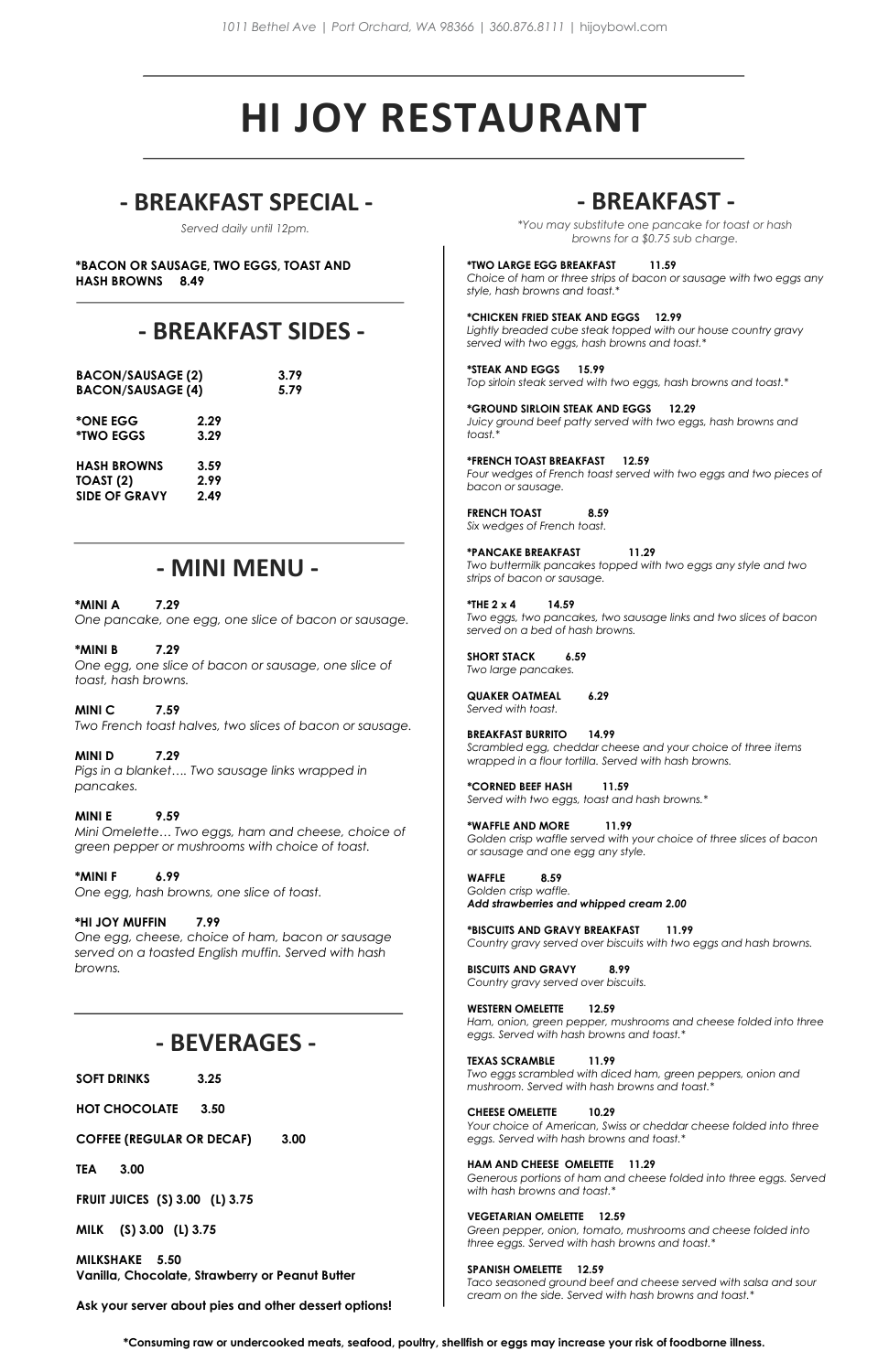#### **\*TWO LARGE EGG BREAKFAST 11.59**

*Choice of ham or three strips of bacon or sausage with two eggs any style, hash browns and toast.\**

#### **\*CHICKEN FRIED STEAK AND EGGS 12.99**

*Lightly breaded cube steak topped with our house country gravy served with two eggs, hash browns and toast.\**

**\*STEAK AND EGGS 15.99** *Top sirloin steak served with two eggs, hash browns and toast.\**

**\*GROUND SIRLOIN STEAK AND EGGS 12.29** *Juicy ground beef patty served with two eggs, hash browns and toast.\**

**\*FRENCH TOAST BREAKFAST 12.59** *Four wedges of French toast served with two eggs and two pieces of bacon or sausage.*

**FRENCH TOAST 8.59** *Six wedges of French toast.*

**\*PANCAKE BREAKFAST 11.29** *Two buttermilk pancakes topped with two eggs any style and two strips of bacon or sausage.*

**\*THE 2 x 4 14.59** *Two eggs, two pancakes, two sausage links and two slices of bacon served on a bed of hash browns.*

**SHORT STACK****6.59** *Two large pancakes.*

**QUAKER OATMEAL 6.29** *Served with toast.*

**BREAKFAST BURRITO 14.99** *Scrambled egg, cheddar cheese and your choice of three items wrapped in a flour tortilla. Served with hash browns.*

# **HI JOY RESTAURANT**

# **- BREAKFAST SPECIAL - - BREAKFAST -**

#### **\*BACON OR SAUSAGE, TWO EGGS, TOAST AND HASH BROWNS 8.49**

*Served daily until 12pm.*

**\*CORNED BEEF HASH 11.59** *Served with two eggs, toast and hash browns.\**

**\*WAFFLE AND MORE 11.99** *Golden crisp waffle served with your choice of three slices of bacon or sausage and one egg any style.*

**WAFFLE 8.59** *Golden crisp waffle. Add strawberries and whipped cream 2.00*

**\*BISCUITS AND GRAVY BREAKFAST 11.99** *Country gravy served over biscuits with two eggs and hash browns.*

**BISCUITS AND GRAVY 8.99** *Country gravy served over biscuits.*

**WESTERN OMELETTE 12.59**

*Ham, onion, green pepper, mushrooms and cheese folded into three eggs. Served with hash browns and toast.\**

#### **TEXAS SCRAMBLE 11.99**

*Two eggs scrambled with diced ham, green peppers, onion and mushroom. Served with hash browns and toast.\**

#### **CHEESE OMELETTE 10.29**

*Your choice of American, Swiss or cheddar cheese folded into three eggs. Served with hash browns and toast.\**

#### **HAM AND CHEESE OMELETTE 11.29**

*Generous portions of ham and cheese folded into three eggs. Served with hash browns and toast.\**

#### **VEGETARIAN OMELETTE 12.59**

*Green pepper, onion, tomato, mushrooms and cheese folded into three eggs. Served with hash browns and toast.\**

#### **SPANISH OMELETTE 12.59**

*Taco seasoned ground beef and cheese served with salsa and sour cream on the side. Served with hash browns and toast.\**

# **- BREAKFAST SIDES -**

| <b>BACON/SAUSAGE (2)</b><br><b>BACON/SAUSAGE (4)</b>               |                      | 3.79<br>5.79 |
|--------------------------------------------------------------------|----------------------|--------------|
| *ONE EGG<br><i><b>*TWO EGGS</b></i>                                | 2.29<br>3.29         |              |
| <b>HASH BROWNS</b><br>TOAST <sub>(2)</sub><br><b>SIDE OF GRAVY</b> | 3.59<br>2.99<br>2.49 |              |

**\*Consuming raw or undercooked meats, seafood, poultry, shellfish or eggs may increase your risk of foodborne illness.**

*\*You may substitute one pancake for toast or hash browns for a \$0.75 sub charge.*

# **- MINI MENU -**

#### **\*MINI A 7.29** *One pancake, one egg, one slice of bacon or sausage.*

**\*MINI B 7.29** *One egg, one slice of bacon or sausage, one slice of toast, hash browns.*

#### **MINI C 7.59** *Two French toast halves, two slices of bacon or sausage.*

**MINI D 7.29** *Pigs in a blanket…. Two sausage links wrapped in pancakes.*

**MINI E 9.59** *Mini Omelette… Two eggs, ham and cheese, choice of green pepper or mushrooms with choice of toast.*

**\*MINI F 6.99** *One egg, hash browns, one slice of toast.*

### **\*HI JOY MUFFIN 7.99**

*One egg, cheese, choice of ham, bacon or sausage served on a toasted English muffin. Served with hash browns.*

# **- BEVERAGES -**

**SOFT DRINKS 3.25**

**HOT CHOCOLATE 3.50**

**COFFEE (REGULAR OR DECAF) 3.00**

**TEA 3.00**

**FRUIT JUICES (S) 3.00 (L) 3.75**

**MILK (S) 3.00 (L) 3.75**

**MILKSHAKE 5.50 Vanilla, Chocolate, Strawberry or Peanut Butter**

**Ask your server about pies and other dessert options!**